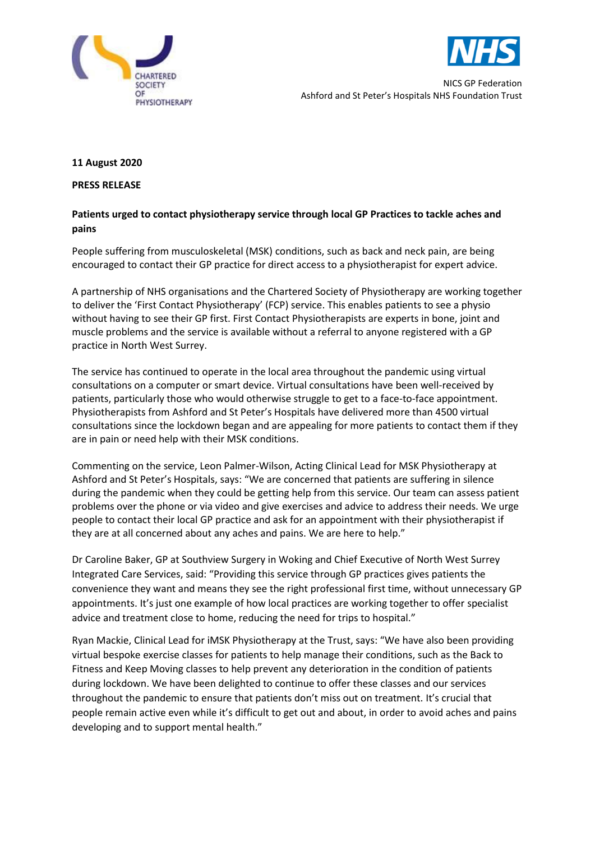



NICS GP Federation Ashford and St Peter's Hospitals NHS Foundation Trust

### **11 August 2020**

#### **PRESS RELEASE**

# **Patients urged to contact physiotherapy service through local GP Practices to tackle aches and pains**

People suffering from musculoskeletal (MSK) conditions, such as back and neck pain, are being encouraged to contact their GP practice for direct access to a physiotherapist for expert advice.

A partnership of NHS organisations and the Chartered Society of Physiotherapy are working together to deliver the 'First Contact Physiotherapy' (FCP) service. This enables patients to see a physio without having to see their GP first. First Contact Physiotherapists are experts in bone, joint and muscle problems and the service is available without a referral to anyone registered with a GP practice in North West Surrey.

The service has continued to operate in the local area throughout the pandemic using virtual consultations on a computer or smart device. Virtual consultations have been well-received by patients, particularly those who would otherwise struggle to get to a face-to-face appointment. Physiotherapists from Ashford and St Peter's Hospitals have delivered more than 4500 virtual consultations since the lockdown began and are appealing for more patients to contact them if they are in pain or need help with their MSK conditions.

Commenting on the service, Leon Palmer-Wilson, Acting Clinical Lead for MSK Physiotherapy at Ashford and St Peter's Hospitals, says: "We are concerned that patients are suffering in silence during the pandemic when they could be getting help from this service. Our team can assess patient problems over the phone or via video and give exercises and advice to address their needs. We urge people to contact their local GP practice and ask for an appointment with their physiotherapist if they are at all concerned about any aches and pains. We are here to help."

Dr Caroline Baker, GP at Southview Surgery in Woking and Chief Executive of North West Surrey Integrated Care Services, said: "Providing this service through GP practices gives patients the convenience they want and means they see the right professional first time, without unnecessary GP appointments. It's just one example of how local practices are working together to offer specialist advice and treatment close to home, reducing the need for trips to hospital."

Ryan Mackie, Clinical Lead for iMSK Physiotherapy at the Trust, says: "We have also been providing virtual bespoke exercise classes for patients to help manage their conditions, such as the Back to Fitness and Keep Moving classes to help prevent any deterioration in the condition of patients during lockdown. We have been delighted to continue to offer these classes and our services throughout the pandemic to ensure that patients don't miss out on treatment. It's crucial that people remain active even while it's difficult to get out and about, in order to avoid aches and pains developing and to support mental health."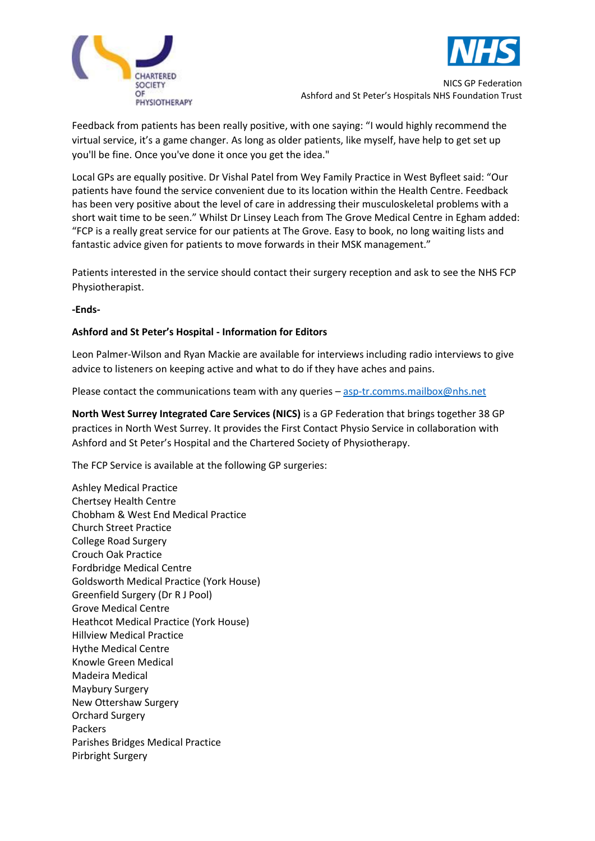



NICS GP Federation Ashford and St Peter's Hospitals NHS Foundation Trust

Feedback from patients has been really positive, with one saying: "I would highly recommend the virtual service, it's a game changer. As long as older patients, like myself, have help to get set up you'll be fine. Once you've done it once you get the idea."

Local GPs are equally positive. Dr Vishal Patel from Wey Family Practice in West Byfleet said: "Our patients have found the service convenient due to its location within the Health Centre. Feedback has been very positive about the level of care in addressing their musculoskeletal problems with a short wait time to be seen." Whilst Dr Linsey Leach from The Grove Medical Centre in Egham added: "FCP is a really great service for our patients at The Grove. Easy to book, no long waiting lists and fantastic advice given for patients to move forwards in their MSK management."

Patients interested in the service should contact their surgery reception and ask to see the NHS FCP Physiotherapist.

**-Ends-**

## **Ashford and St Peter's Hospital - Information for Editors**

Leon Palmer-Wilson and Ryan Mackie are available for interviews including radio interviews to give advice to listeners on keeping active and what to do if they have aches and pains.

Please contact the communications team with any queries – [asp-tr.comms.mailbox@nhs.net](mailto:asp-tr.comms.mailbox@nhs.net)

**North West Surrey Integrated Care Services (NICS)** is a GP Federation that brings together 38 GP practices in North West Surrey. It provides the First Contact Physio Service in collaboration with Ashford and St Peter's Hospital and the Chartered Society of Physiotherapy.

The FCP Service is available at the following GP surgeries:

Ashley Medical Practice Chertsey Health Centre Chobham & West End Medical Practice Church Street Practice College Road Surgery Crouch Oak Practice Fordbridge Medical Centre Goldsworth Medical Practice (York House) Greenfield Surgery (Dr R J Pool) Grove Medical Centre Heathcot Medical Practice (York House) Hillview Medical Practice Hythe Medical Centre Knowle Green Medical Madeira Medical Maybury Surgery New Ottershaw Surgery Orchard Surgery Packers Parishes Bridges Medical Practice Pirbright Surgery